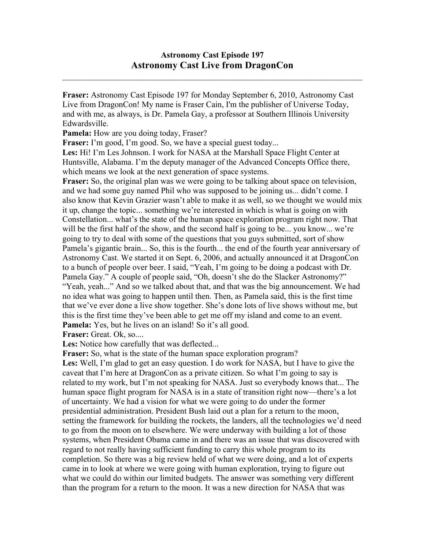$\mathcal{L}_\text{max}$  , and the contribution of the contribution of the contribution of the contribution of the contribution of the contribution of the contribution of the contribution of the contribution of the contribution of t

**Fraser:** Astronomy Cast Episode 197 for Monday September 6, 2010, Astronomy Cast Live from DragonCon! My name is Fraser Cain, I'm the publisher of Universe Today, and with me, as always, is Dr. Pamela Gay, a professor at Southern Illinois University Edwardsville.

**Pamela:** How are you doing today, Fraser?

**Fraser:** I'm good, I'm good. So, we have a special guest today...

**Les:** Hi! I'm Les Johnson. I work for NASA at the Marshall Space Flight Center at Huntsville, Alabama. I'm the deputy manager of the Advanced Concepts Office there, which means we look at the next generation of space systems.

**Fraser:** So, the original plan was we were going to be talking about space on television, and we had some guy named Phil who was supposed to be joining us... didn't come. I also know that Kevin Grazier wasn't able to make it as well, so we thought we would mix it up, change the topic... something we're interested in which is what is going on with Constellation... what's the state of the human space exploration program right now. That will be the first half of the show, and the second half is going to be... you know... we're going to try to deal with some of the questions that you guys submitted, sort of show Pamela's gigantic brain... So, this is the fourth... the end of the fourth year anniversary of Astronomy Cast. We started it on Sept. 6, 2006, and actually announced it at DragonCon to a bunch of people over beer. I said, "Yeah, I'm going to be doing a podcast with Dr. Pamela Gay." A couple of people said, "Oh, doesn't she do the Slacker Astronomy?" "Yeah, yeah..." And so we talked about that, and that was the big announcement. We had no idea what was going to happen until then. Then, as Pamela said, this is the first time that we've ever done a live show together. She's done lots of live shows without me, but this is the first time they've been able to get me off my island and come to an event. **Pamela:** Yes, but he lives on an island! So it's all good.

**Fraser:** Great. Ok, so....

Les: Notice how carefully that was deflected...

**Fraser:** So, what is the state of the human space exploration program?

**Les:** Well, I'm glad to get an easy question. I do work for NASA, but I have to give the caveat that I'm here at DragonCon as a private citizen. So what I'm going to say is related to my work, but I'm not speaking for NASA. Just so everybody knows that... The human space flight program for NASA is in a state of transition right now—there's a lot of uncertainty. We had a vision for what we were going to do under the former presidential administration. President Bush laid out a plan for a return to the moon, setting the framework for building the rockets, the landers, all the technologies we'd need to go from the moon on to elsewhere. We were underway with building a lot of those systems, when President Obama came in and there was an issue that was discovered with regard to not really having sufficient funding to carry this whole program to its completion. So there was a big review held of what we were doing, and a lot of experts came in to look at where we were going with human exploration, trying to figure out what we could do within our limited budgets. The answer was something very different than the program for a return to the moon. It was a new direction for NASA that was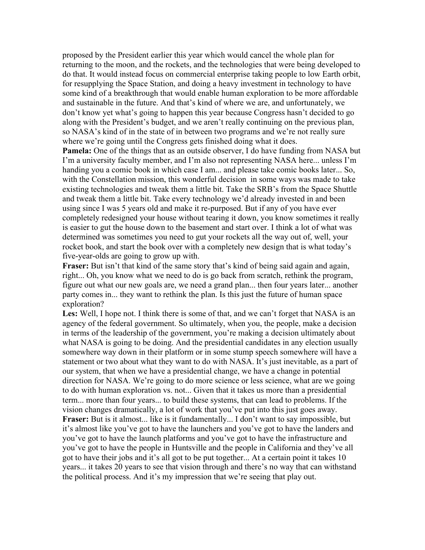proposed by the President earlier this year which would cancel the whole plan for returning to the moon, and the rockets, and the technologies that were being developed to do that. It would instead focus on commercial enterprise taking people to low Earth orbit, for resupplying the Space Station, and doing a heavy investment in technology to have some kind of a breakthrough that would enable human exploration to be more affordable and sustainable in the future. And that's kind of where we are, and unfortunately, we don't know yet what's going to happen this year because Congress hasn't decided to go along with the President's budget, and we aren't really continuing on the previous plan, so NASA's kind of in the state of in between two programs and we're not really sure where we're going until the Congress gets finished doing what it does.

**Pamela:** One of the things that as an outside observer, I do have funding from NASA but I'm a university faculty member, and I'm also not representing NASA here... unless I'm handing you a comic book in which case I am... and please take comic books later... So, with the Constellation mission, this wonderful decision in some ways was made to take existing technologies and tweak them a little bit. Take the SRB's from the Space Shuttle and tweak them a little bit. Take every technology we'd already invested in and been using since I was 5 years old and make it re-purposed. But if any of you have ever completely redesigned your house without tearing it down, you know sometimes it really is easier to gut the house down to the basement and start over. I think a lot of what was determined was sometimes you need to gut your rockets all the way out of, well, your rocket book, and start the book over with a completely new design that is what today's five-year-olds are going to grow up with.

Fraser: But isn't that kind of the same story that's kind of being said again and again, right... Oh, you know what we need to do is go back from scratch, rethink the program, figure out what our new goals are, we need a grand plan... then four years later... another party comes in... they want to rethink the plan. Is this just the future of human space exploration?

**Les:** Well, I hope not. I think there is some of that, and we can't forget that NASA is an agency of the federal government. So ultimately, when you, the people, make a decision in terms of the leadership of the government, you're making a decision ultimately about what NASA is going to be doing. And the presidential candidates in any election usually somewhere way down in their platform or in some stump speech somewhere will have a statement or two about what they want to do with NASA. It's just inevitable, as a part of our system, that when we have a presidential change, we have a change in potential direction for NASA. We're going to do more science or less science, what are we going to do with human exploration vs. not... Given that it takes us more than a presidential term... more than four years... to build these systems, that can lead to problems. If the vision changes dramatically, a lot of work that you've put into this just goes away. **Fraser:** But is it almost... like is it fundamentally... I don't want to say impossible, but it's almost like you've got to have the launchers and you've got to have the landers and you've got to have the launch platforms and you've got to have the infrastructure and you've got to have the people in Huntsville and the people in California and they've all got to have their jobs and it's all got to be put together... At a certain point it takes 10 years... it takes 20 years to see that vision through and there's no way that can withstand the political process. And it's my impression that we're seeing that play out.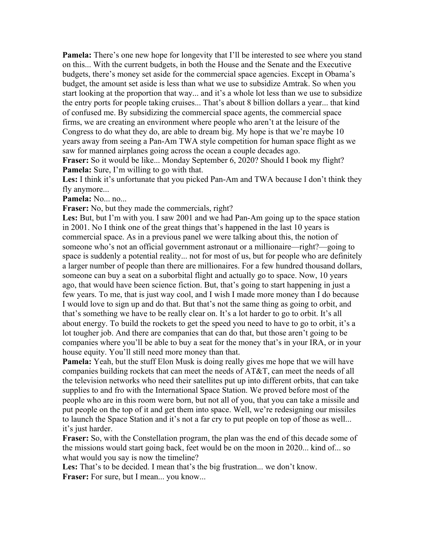**Pamela:** There's one new hope for longevity that I'll be interested to see where you stand on this... With the current budgets, in both the House and the Senate and the Executive budgets, there's money set aside for the commercial space agencies. Except in Obama's budget, the amount set aside is less than what we use to subsidize Amtrak. So when you start looking at the proportion that way... and it's a whole lot less than we use to subsidize the entry ports for people taking cruises... That's about 8 billion dollars a year... that kind of confused me. By subsidizing the commercial space agents, the commercial space firms, we are creating an environment where people who aren't at the leisure of the Congress to do what they do, are able to dream big. My hope is that we're maybe 10 years away from seeing a Pan-Am TWA style competition for human space flight as we saw for manned airplanes going across the ocean a couple decades ago.

**Fraser:** So it would be like... Monday September 6, 2020? Should I book my flight? **Pamela:** Sure, I'm willing to go with that.

**Les:** I think it's unfortunate that you picked Pan-Am and TWA because I don't think they fly anymore...

**Pamela:** No... no...

**Fraser:** No, but they made the commercials, right?

**Les:** But, but I'm with you. I saw 2001 and we had Pan-Am going up to the space station in 2001. No I think one of the great things that's happened in the last 10 years is commercial space. As in a previous panel we were talking about this, the notion of someone who's not an official government astronaut or a millionaire—right?—going to space is suddenly a potential reality... not for most of us, but for people who are definitely a larger number of people than there are millionaires. For a few hundred thousand dollars, someone can buy a seat on a suborbital flight and actually go to space. Now, 10 years ago, that would have been science fiction. But, that's going to start happening in just a few years. To me, that is just way cool, and I wish I made more money than I do because I would love to sign up and do that. But that's not the same thing as going to orbit, and that's something we have to be really clear on. It's a lot harder to go to orbit. It's all about energy. To build the rockets to get the speed you need to have to go to orbit, it's a lot tougher job. And there are companies that can do that, but those aren't going to be companies where you'll be able to buy a seat for the money that's in your IRA, or in your house equity. You'll still need more money than that.

**Pamela:** Yeah, but the stuff Elon Musk is doing really gives me hope that we will have companies building rockets that can meet the needs of AT&T, can meet the needs of all the television networks who need their satellites put up into different orbits, that can take supplies to and fro with the International Space Station. We proved before most of the people who are in this room were born, but not all of you, that you can take a missile and put people on the top of it and get them into space. Well, we're redesigning our missiles to launch the Space Station and it's not a far cry to put people on top of those as well... it's just harder.

**Fraser:** So, with the Constellation program, the plan was the end of this decade some of the missions would start going back, feet would be on the moon in 2020... kind of... so what would you say is now the timeline?

Les: That's to be decided. I mean that's the big frustration... we don't know. Fraser: For sure, but I mean... you know...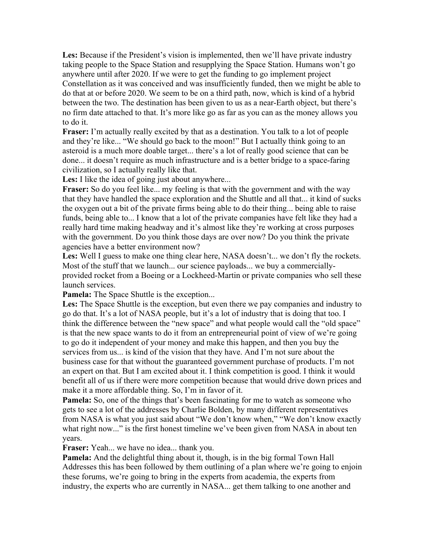**Les:** Because if the President's vision is implemented, then we'll have private industry taking people to the Space Station and resupplying the Space Station. Humans won't go anywhere until after 2020. If we were to get the funding to go implement project Constellation as it was conceived and was insufficiently funded, then we might be able to do that at or before 2020. We seem to be on a third path, now, which is kind of a hybrid between the two. The destination has been given to us as a near-Earth object, but there's no firm date attached to that. It's more like go as far as you can as the money allows you to do it.

**Fraser:** I'm actually really excited by that as a destination. You talk to a lot of people and they're like... "We should go back to the moon!" But I actually think going to an asteroid is a much more doable target... there's a lot of really good science that can be done... it doesn't require as much infrastructure and is a better bridge to a space-faring civilization, so I actually really like that.

Les: I like the idea of going just about anywhere...

**Fraser:** So do you feel like... my feeling is that with the government and with the way that they have handled the space exploration and the Shuttle and all that... it kind of sucks the oxygen out a bit of the private firms being able to do their thing... being able to raise funds, being able to... I know that a lot of the private companies have felt like they had a really hard time making headway and it's almost like they're working at cross purposes with the government. Do you think those days are over now? Do you think the private agencies have a better environment now?

Les: Well I guess to make one thing clear here, NASA doesn't... we don't fly the rockets. Most of the stuff that we launch... our science payloads... we buy a commerciallyprovided rocket from a Boeing or a Lockheed-Martin or private companies who sell these launch services.

**Pamela:** The Space Shuttle is the exception...

**Les:** The Space Shuttle is the exception, but even there we pay companies and industry to go do that. It's a lot of NASA people, but it's a lot of industry that is doing that too. I think the difference between the "new space" and what people would call the "old space" is that the new space wants to do it from an entrepreneurial point of view of we're going to go do it independent of your money and make this happen, and then you buy the services from us... is kind of the vision that they have. And I'm not sure about the business case for that without the guaranteed government purchase of products. I'm not an expert on that. But I am excited about it. I think competition is good. I think it would benefit all of us if there were more competition because that would drive down prices and make it a more affordable thing. So, I'm in favor of it.

**Pamela:** So, one of the things that's been fascinating for me to watch as someone who gets to see a lot of the addresses by Charlie Bolden, by many different representatives from NASA is what you just said about "We don't know when," "We don't know exactly what right now..." is the first honest timeline we've been given from NASA in about ten years.

**Fraser:** Yeah... we have no idea... thank you.

**Pamela:** And the delightful thing about it, though, is in the big formal Town Hall Addresses this has been followed by them outlining of a plan where we're going to enjoin these forums, we're going to bring in the experts from academia, the experts from industry, the experts who are currently in NASA... get them talking to one another and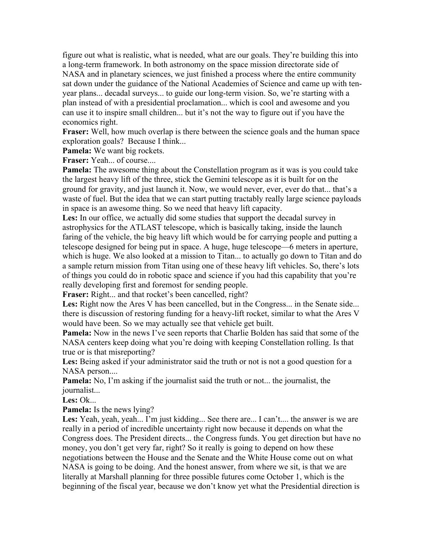figure out what is realistic, what is needed, what are our goals. They're building this into a long-term framework. In both astronomy on the space mission directorate side of NASA and in planetary sciences, we just finished a process where the entire community sat down under the guidance of the National Academies of Science and came up with tenyear plans... decadal surveys... to guide our long-term vision. So, we're starting with a plan instead of with a presidential proclamation... which is cool and awesome and you can use it to inspire small children... but it's not the way to figure out if you have the economics right.

**Fraser:** Well, how much overlap is there between the science goals and the human space exploration goals? Because I think...

**Pamela:** We want big rockets.

**Fraser:** Yeah... of course....

**Pamela:** The awesome thing about the Constellation program as it was is you could take the largest heavy lift of the three, stick the Gemini telescope as it is built for on the ground for gravity, and just launch it. Now, we would never, ever, ever do that... that's a waste of fuel. But the idea that we can start putting tractably really large science payloads in space is an awesome thing. So we need that heavy lift capacity.

**Les:** In our office, we actually did some studies that support the decadal survey in astrophysics for the ATLAST telescope, which is basically taking, inside the launch faring of the vehicle, the big heavy lift which would be for carrying people and putting a telescope designed for being put in space. A huge, huge telescope—6 meters in aperture, which is huge. We also looked at a mission to Titan... to actually go down to Titan and do a sample return mission from Titan using one of these heavy lift vehicles. So, there's lots of things you could do in robotic space and science if you had this capability that you're really developing first and foremost for sending people.

**Fraser:** Right... and that rocket's been cancelled, right?

Les: Right now the Ares V has been cancelled, but in the Congress... in the Senate side... there is discussion of restoring funding for a heavy-lift rocket, similar to what the Ares V would have been. So we may actually see that vehicle get built.

**Pamela:** Now in the news I've seen reports that Charlie Bolden has said that some of the NASA centers keep doing what you're doing with keeping Constellation rolling. Is that true or is that misreporting?

**Les:** Being asked if your administrator said the truth or not is not a good question for a NASA person....

**Pamela:** No, I'm asking if the journalist said the truth or not... the journalist, the journalist...

**Les:** Ok...

**Pamela:** Is the news lying?

**Les:** Yeah, yeah, yeah... I'm just kidding... See there are... I can't.... the answer is we are really in a period of incredible uncertainty right now because it depends on what the Congress does. The President directs... the Congress funds. You get direction but have no money, you don't get very far, right? So it really is going to depend on how these negotiations between the House and the Senate and the White House come out on what NASA is going to be doing. And the honest answer, from where we sit, is that we are literally at Marshall planning for three possible futures come October 1, which is the beginning of the fiscal year, because we don't know yet what the Presidential direction is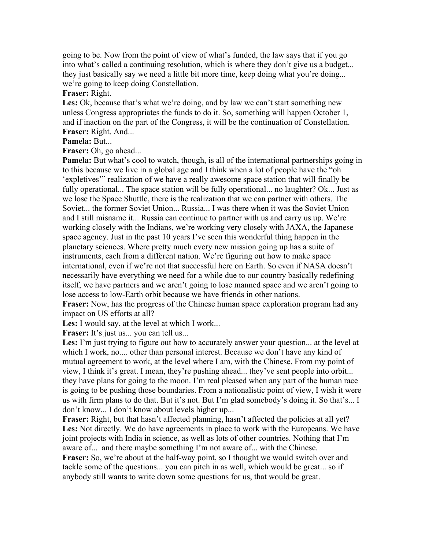going to be. Now from the point of view of what's funded, the law says that if you go into what's called a continuing resolution, which is where they don't give us a budget... they just basically say we need a little bit more time, keep doing what you're doing... we're going to keep doing Constellation.

## **Fraser:** Right.

**Les:** Ok, because that's what we're doing, and by law we can't start something new unless Congress appropriates the funds to do it. So, something will happen October 1, and if inaction on the part of the Congress, it will be the continuation of Constellation. **Fraser:** Right. And...

## **Pamela:** But...

**Fraser:** Oh, go ahead...

**Pamela:** But what's cool to watch, though, is all of the international partnerships going in to this because we live in a global age and I think when a lot of people have the "oh 'expletives'" realization of we have a really awesome space station that will finally be fully operational... The space station will be fully operational... no laughter? Ok... Just as we lose the Space Shuttle, there is the realization that we can partner with others. The Soviet... the former Soviet Union... Russia... I was there when it was the Soviet Union and I still misname it... Russia can continue to partner with us and carry us up. We're working closely with the Indians, we're working very closely with JAXA, the Japanese space agency. Just in the past 10 years I've seen this wonderful thing happen in the planetary sciences. Where pretty much every new mission going up has a suite of instruments, each from a different nation. We're figuring out how to make space international, even if we're not that successful here on Earth. So even if NASA doesn't necessarily have everything we need for a while due to our country basically redefining itself, we have partners and we aren't going to lose manned space and we aren't going to lose access to low-Earth orbit because we have friends in other nations.

**Fraser:** Now, has the progress of the Chinese human space exploration program had any impact on US efforts at all?

Les: I would say, at the level at which I work...

**Fraser:** It's just us... you can tell us...

**Les:** I'm just trying to figure out how to accurately answer your question... at the level at which I work, no.... other than personal interest. Because we don't have any kind of mutual agreement to work, at the level where I am, with the Chinese. From my point of view, I think it's great. I mean, they're pushing ahead... they've sent people into orbit... they have plans for going to the moon. I'm real pleased when any part of the human race is going to be pushing those boundaries. From a nationalistic point of view, I wish it were us with firm plans to do that. But it's not. But I'm glad somebody's doing it. So that's... I don't know... I don't know about levels higher up...

**Fraser:** Right, but that hasn't affected planning, hasn't affected the policies at all yet? Les: Not directly. We do have agreements in place to work with the Europeans. We have joint projects with India in science, as well as lots of other countries. Nothing that I'm aware of... and there maybe something I'm not aware of... with the Chinese.

**Fraser:** So, we're about at the half-way point, so I thought we would switch over and tackle some of the questions... you can pitch in as well, which would be great... so if anybody still wants to write down some questions for us, that would be great.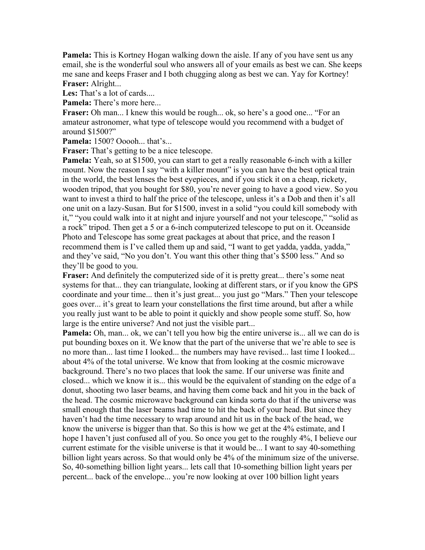**Pamela:** This is Kortney Hogan walking down the aisle. If any of you have sent us any email, she is the wonderful soul who answers all of your emails as best we can. She keeps me sane and keeps Fraser and I both chugging along as best we can. Yay for Kortney! **Fraser:** Alright...

Les: That's a lot of cards...

**Pamela:** There's more here...

**Fraser:** Oh man... I knew this would be rough... ok, so here's a good one... "For an amateur astronomer, what type of telescope would you recommend with a budget of around \$1500?"

**Pamela:** 1500? Ooooh... that's...

**Fraser:** That's getting to be a nice telescope.

**Pamela:** Yeah, so at \$1500, you can start to get a really reasonable 6-inch with a killer mount. Now the reason I say "with a killer mount" is you can have the best optical train in the world, the best lenses the best eyepieces, and if you stick it on a cheap, rickety, wooden tripod, that you bought for \$80, you're never going to have a good view. So you want to invest a third to half the price of the telescope, unless it's a Dob and then it's all one unit on a lazy-Susan. But for \$1500, invest in a solid "you could kill somebody with it," "you could walk into it at night and injure yourself and not your telescope," "solid as a rock" tripod. Then get a 5 or a 6-inch computerized telescope to put on it. Oceanside Photo and Telescope has some great packages at about that price, and the reason I recommend them is I've called them up and said, "I want to get yadda, yadda, yadda," and they've said, "No you don't. You want this other thing that's \$500 less." And so they'll be good to you.

**Fraser:** And definitely the computerized side of it is pretty great... there's some neat systems for that... they can triangulate, looking at different stars, or if you know the GPS coordinate and your time... then it's just great... you just go "Mars." Then your telescope goes over... it's great to learn your constellations the first time around, but after a while you really just want to be able to point it quickly and show people some stuff. So, how large is the entire universe? And not just the visible part...

**Pamela:** Oh, man... ok, we can't tell you how big the entire universe is... all we can do is put bounding boxes on it. We know that the part of the universe that we're able to see is no more than... last time I looked... the numbers may have revised... last time I looked... about 4% of the total universe. We know that from looking at the cosmic microwave background. There's no two places that look the same. If our universe was finite and closed... which we know it is... this would be the equivalent of standing on the edge of a donut, shooting two laser beams, and having them come back and hit you in the back of the head. The cosmic microwave background can kinda sorta do that if the universe was small enough that the laser beams had time to hit the back of your head. But since they haven't had the time necessary to wrap around and hit us in the back of the head, we know the universe is bigger than that. So this is how we get at the 4% estimate, and I hope I haven't just confused all of you. So once you get to the roughly 4%, I believe our current estimate for the visible universe is that it would be... I want to say 40-something billion light years across. So that would only be 4% of the minimum size of the universe. So, 40-something billion light years... lets call that 10-something billion light years per percent... back of the envelope... you're now looking at over 100 billion light years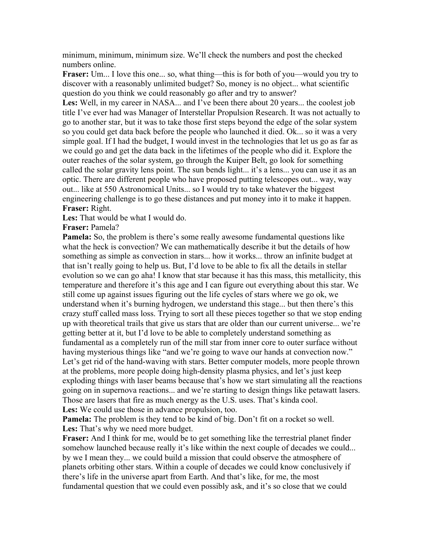minimum, minimum, minimum size. We'll check the numbers and post the checked numbers online.

**Fraser:** Um... I love this one... so, what thing—this is for both of you—would you try to discover with a reasonably unlimited budget? So, money is no object... what scientific question do you think we could reasonably go after and try to answer?

**Les:** Well, in my career in NASA... and I've been there about 20 years... the coolest job title I've ever had was Manager of Interstellar Propulsion Research. It was not actually to go to another star, but it was to take those first steps beyond the edge of the solar system so you could get data back before the people who launched it died. Ok... so it was a very simple goal. If I had the budget, I would invest in the technologies that let us go as far as we could go and get the data back in the lifetimes of the people who did it. Explore the outer reaches of the solar system, go through the Kuiper Belt, go look for something called the solar gravity lens point. The sun bends light... it's a lens... you can use it as an optic. There are different people who have proposed putting telescopes out... way, way out... like at 550 Astronomical Units... so I would try to take whatever the biggest engineering challenge is to go these distances and put money into it to make it happen. **Fraser:** Right.

**Les:** That would be what I would do.

**Fraser:** Pamela?

**Pamela:** So, the problem is there's some really awesome fundamental questions like what the heck is convection? We can mathematically describe it but the details of how something as simple as convection in stars... how it works... throw an infinite budget at that isn't really going to help us. But, I'd love to be able to fix all the details in stellar evolution so we can go aha! I know that star because it has this mass, this metallicity, this temperature and therefore it's this age and I can figure out everything about this star. We still come up against issues figuring out the life cycles of stars where we go ok, we understand when it's burning hydrogen, we understand this stage... but then there's this crazy stuff called mass loss. Trying to sort all these pieces together so that we stop ending up with theoretical trails that give us stars that are older than our current universe... we're getting better at it, but I'd love to be able to completely understand something as fundamental as a completely run of the mill star from inner core to outer surface without having mysterious things like "and we're going to wave our hands at convection now." Let's get rid of the hand-waving with stars. Better computer models, more people thrown at the problems, more people doing high-density plasma physics, and let's just keep exploding things with laser beams because that's how we start simulating all the reactions going on in supernova reactions... and we're starting to design things like petawatt lasers. Those are lasers that fire as much energy as the U.S. uses. That's kinda cool. **Les:** We could use those in advance propulsion, too.

**Pamela:** The problem is they tend to be kind of big. Don't fit on a rocket so well. **Les:** That's why we need more budget.

**Fraser:** And I think for me, would be to get something like the terrestrial planet finder somehow launched because really it's like within the next couple of decades we could... by we I mean they... we could build a mission that could observe the atmosphere of planets orbiting other stars. Within a couple of decades we could know conclusively if there's life in the universe apart from Earth. And that's like, for me, the most fundamental question that we could even possibly ask, and it's so close that we could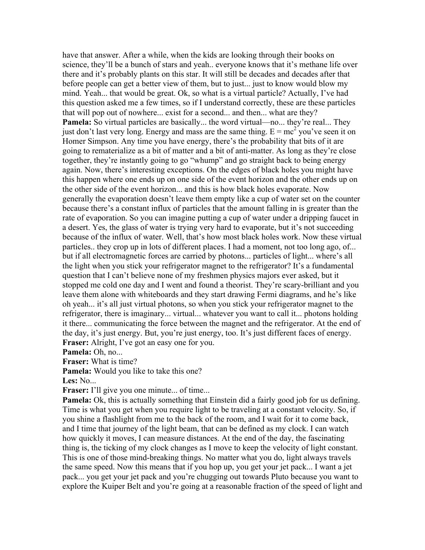have that answer. After a while, when the kids are looking through their books on science, they'll be a bunch of stars and yeah.. everyone knows that it's methane life over there and it's probably plants on this star. It will still be decades and decades after that before people can get a better view of them, but to just... just to know would blow my mind. Yeah... that would be great. Ok, so what is a virtual particle? Actually, I've had this question asked me a few times, so if I understand correctly, these are these particles that will pop out of nowhere... exist for a second... and then... what are they? **Pamela:** So virtual particles are basically... the word virtual—no... they're real... They just don't last very long. Energy and mass are the same thing.  $E = mc^2$  you've seen it on Homer Simpson. Any time you have energy, there's the probability that bits of it are going to rematerialize as a bit of matter and a bit of anti-matter. As long as they're close together, they're instantly going to go "whump" and go straight back to being energy again. Now, there's interesting exceptions. On the edges of black holes you might have this happen where one ends up on one side of the event horizon and the other ends up on the other side of the event horizon... and this is how black holes evaporate. Now generally the evaporation doesn't leave them empty like a cup of water set on the counter because there's a constant influx of particles that the amount falling in is greater than the rate of evaporation. So you can imagine putting a cup of water under a dripping faucet in a desert. Yes, the glass of water is trying very hard to evaporate, but it's not succeeding because of the influx of water. Well, that's how most black holes work. Now these virtual particles.. they crop up in lots of different places. I had a moment, not too long ago, of... but if all electromagnetic forces are carried by photons... particles of light... where's all the light when you stick your refrigerator magnet to the refrigerator? It's a fundamental question that I can't believe none of my freshmen physics majors ever asked, but it stopped me cold one day and I went and found a theorist. They're scary-brilliant and you leave them alone with whiteboards and they start drawing Fermi diagrams, and he's like oh yeah... it's all just virtual photons, so when you stick your refrigerator magnet to the refrigerator, there is imaginary... virtual... whatever you want to call it... photons holding it there... communicating the force between the magnet and the refrigerator. At the end of the day, it's just energy. But, you're just energy, too. It's just different faces of energy. **Fraser:** Alright, I've got an easy one for you.

**Pamela:** Oh, no...

**Fraser:** What is time?

**Pamela:** Would you like to take this one?

**Les:** No...

Fraser: I'll give you one minute... of time...

**Pamela:** Ok, this is actually something that Einstein did a fairly good job for us defining. Time is what you get when you require light to be traveling at a constant velocity. So, if you shine a flashlight from me to the back of the room, and I wait for it to come back, and I time that journey of the light beam, that can be defined as my clock. I can watch how quickly it moves, I can measure distances. At the end of the day, the fascinating thing is, the ticking of my clock changes as I move to keep the velocity of light constant. This is one of those mind-breaking things. No matter what you do, light always travels the same speed. Now this means that if you hop up, you get your jet pack... I want a jet pack... you get your jet pack and you're chugging out towards Pluto because you want to explore the Kuiper Belt and you're going at a reasonable fraction of the speed of light and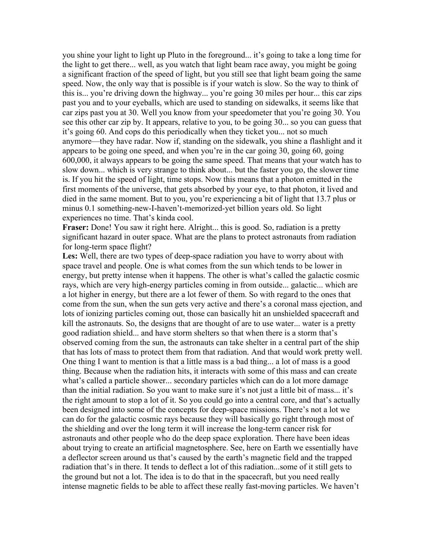you shine your light to light up Pluto in the foreground... it's going to take a long time for the light to get there... well, as you watch that light beam race away, you might be going a significant fraction of the speed of light, but you still see that light beam going the same speed. Now, the only way that is possible is if your watch is slow. So the way to think of this is... you're driving down the highway... you're going 30 miles per hour... this car zips past you and to your eyeballs, which are used to standing on sidewalks, it seems like that car zips past you at 30. Well you know from your speedometer that you're going 30. You see this other car zip by. It appears, relative to you, to be going 30... so you can guess that it's going 60. And cops do this periodically when they ticket you... not so much anymore—they have radar. Now if, standing on the sidewalk, you shine a flashlight and it appears to be going one speed, and when you're in the car going 30, going 60, going 600,000, it always appears to be going the same speed. That means that your watch has to slow down... which is very strange to think about... but the faster you go, the slower time is. If you hit the speed of light, time stops. Now this means that a photon emitted in the first moments of the universe, that gets absorbed by your eye, to that photon, it lived and died in the same moment. But to you, you're experiencing a bit of light that 13.7 plus or minus 0.1 something-new-I-haven't-memorized-yet billion years old. So light experiences no time. That's kinda cool.

**Fraser:** Done! You saw it right here. Alright... this is good. So, radiation is a pretty significant hazard in outer space. What are the plans to protect astronauts from radiation for long-term space flight?

**Les:** Well, there are two types of deep-space radiation you have to worry about with space travel and people. One is what comes from the sun which tends to be lower in energy, but pretty intense when it happens. The other is what's called the galactic cosmic rays, which are very high-energy particles coming in from outside... galactic... which are a lot higher in energy, but there are a lot fewer of them. So with regard to the ones that come from the sun, when the sun gets very active and there's a coronal mass ejection, and lots of ionizing particles coming out, those can basically hit an unshielded spacecraft and kill the astronauts. So, the designs that are thought of are to use water... water is a pretty good radiation shield... and have storm shelters so that when there is a storm that's observed coming from the sun, the astronauts can take shelter in a central part of the ship that has lots of mass to protect them from that radiation. And that would work pretty well. One thing I want to mention is that a little mass is a bad thing... a lot of mass is a good thing. Because when the radiation hits, it interacts with some of this mass and can create what's called a particle shower... secondary particles which can do a lot more damage than the initial radiation. So you want to make sure it's not just a little bit of mass... it's the right amount to stop a lot of it. So you could go into a central core, and that's actually been designed into some of the concepts for deep-space missions. There's not a lot we can do for the galactic cosmic rays because they will basically go right through most of the shielding and over the long term it will increase the long-term cancer risk for astronauts and other people who do the deep space exploration. There have been ideas about trying to create an artificial magnetosphere. See, here on Earth we essentially have a deflector screen around us that's caused by the earth's magnetic field and the trapped radiation that's in there. It tends to deflect a lot of this radiation...some of it still gets to the ground but not a lot. The idea is to do that in the spacecraft, but you need really intense magnetic fields to be able to affect these really fast-moving particles. We haven't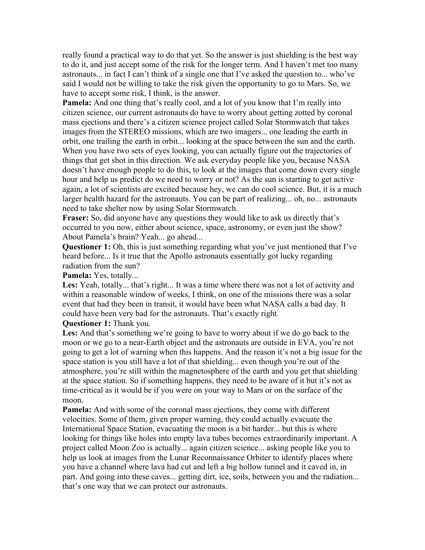really found a practical way to do that yet. So the answer is just shielding is the best way to do it, and just accept some of the risk for the longer term. And I haven't met too many astronauts... in fact I can't think of a single one that I've asked the question to... who've said I would not be willing to take the risk given the opportunity to go to Mars. So, we have to accept some risk, I think, is the answer.

**Pamela:** And one thing that's really cool, and a lot of you know that I'm really into citizen science, our current astronauts do have to worry about getting zotted by coronal mass ejections and there's a citizen science project called Solar Stormwatch that takes images from the STEREO missions, which are two imagers... one leading the earth in orbit, one trailing the earth in orbit... looking at the space between the sun and the earth. When you have two sets of eyes looking, you can actually figure out the trajectories of things that get shot in this direction. We ask everyday people like you, because NASA doesn't have enough people to do this, to look at the images that come down every single hour and help us predict do we need to worry or not? As the sun is starting to get active again, a lot of scientists are excited because hey, we can do cool science. But, it is a much larger health hazard for the astronauts. You can be part of realizing... oh, no... astronauts need to take shelter now by using Solar Stormwatch.

**Fraser:** So, did anyone have any questions they would like to ask us directly that's occurred to you now, either about science, space, astronomy, or even just the show? About Pamela's brain? Yeah... go ahead...

**Questioner 1:** Oh, this is just something regarding what you've just mentioned that I've heard before... Is it true that the Apollo astronauts essentially got lucky regarding radiation from the sun?

**Pamela:** Yes, totally...

**Les:** Yeah, totally... that's right... It was a time where there was not a lot of activity and within a reasonable window of weeks, I think, on one of the missions there was a solar event that had they been in transit, it would have been what NASA calls a bad day. It could have been very bad for the astronauts. That's exactly right.

## **Questioner 1:** Thank you.

**Les:** And that's something we're going to have to worry about if we do go back to the moon or we go to a near-Earth object and the astronauts are outside in EVA, you're not going to get a lot of warning when this happens. And the reason it's not a big issue for the space station is you still have a lot of that shielding... even though you're out of the atmosphere, you're still within the magnetosphere of the earth and you get that shielding at the space station. So if something happens, they need to be aware of it but it's not as time-critical as it would be if you were on your way to Mars or on the surface of the moon.

**Pamela:** And with some of the coronal mass ejections, they come with different velocities. Some of them, given proper warning, they could actually evacuate the International Space Station, evacuating the moon is a bit harder... but this is where looking for things like holes into empty lava tubes becomes extraordinarily important. A project called Moon Zoo is actually... again citizen science... asking people like you to help us look at images from the Lunar Reconnaissance Orbiter to identify places where you have a channel where lava had cut and left a big hollow tunnel and it caved in, in part. And going into these caves... getting dirt, ice, soils, between you and the radiation... that's one way that we can protect our astronauts.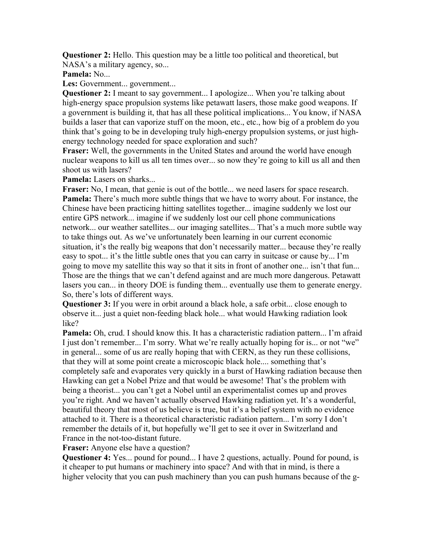**Questioner 2:** Hello. This question may be a little too political and theoretical, but NASA's a military agency, so...

**Pamela:** No...

**Les:** Government... government...

**Questioner 2:** I meant to say government... I apologize... When you're talking about high-energy space propulsion systems like petawatt lasers, those make good weapons. If a government is building it, that has all these political implications... You know, if NASA builds a laser that can vaporize stuff on the moon, etc., etc., how big of a problem do you think that's going to be in developing truly high-energy propulsion systems, or just highenergy technology needed for space exploration and such?

**Fraser:** Well, the governments in the United States and around the world have enough nuclear weapons to kill us all ten times over... so now they're going to kill us all and then shoot us with lasers?

**Pamela:** Lasers on sharks...

**Fraser:** No, I mean, that genie is out of the bottle... we need lasers for space research. **Pamela:** There's much more subtle things that we have to worry about. For instance, the Chinese have been practicing hitting satellites together... imagine suddenly we lost our entire GPS network... imagine if we suddenly lost our cell phone communications network... our weather satellites... our imaging satellites... That's a much more subtle way to take things out. As we've unfortunately been learning in our current economic situation, it's the really big weapons that don't necessarily matter... because they're really easy to spot... it's the little subtle ones that you can carry in suitcase or cause by... I'm going to move my satellite this way so that it sits in front of another one... isn't that fun... Those are the things that we can't defend against and are much more dangerous. Petawatt lasers you can... in theory DOE is funding them... eventually use them to generate energy. So, there's lots of different ways.

**Questioner 3:** If you were in orbit around a black hole, a safe orbit... close enough to observe it... just a quiet non-feeding black hole... what would Hawking radiation look like?

**Pamela:** Oh, crud. I should know this. It has a characteristic radiation pattern... I'm afraid I just don't remember... I'm sorry. What we're really actually hoping for is... or not "we" in general... some of us are really hoping that with CERN, as they run these collisions, that they will at some point create a microscopic black hole.... something that's completely safe and evaporates very quickly in a burst of Hawking radiation because then Hawking can get a Nobel Prize and that would be awesome! That's the problem with being a theorist... you can't get a Nobel until an experimentalist comes up and proves you're right. And we haven't actually observed Hawking radiation yet. It's a wonderful, beautiful theory that most of us believe is true, but it's a belief system with no evidence attached to it. There is a theoretical characteristic radiation pattern... I'm sorry I don't remember the details of it, but hopefully we'll get to see it over in Switzerland and France in the not-too-distant future.

**Fraser:** Anyone else have a question?

**Questioner 4:** Yes... pound for pound... I have 2 questions, actually. Pound for pound, is it cheaper to put humans or machinery into space? And with that in mind, is there a higher velocity that you can push machinery than you can push humans because of the g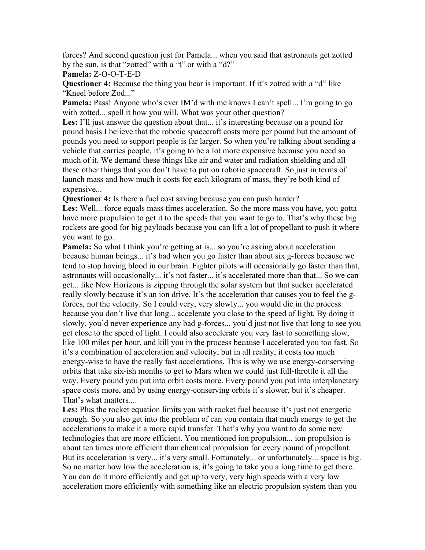forces? And second question just for Pamela... when you said that astronauts get zotted by the sun, is that "zotted" with a "t" or with a "d?"

**Pamela:** Z-O-O-T-E-D

**Questioner 4:** Because the thing you hear is important. If it's zotted with a "d" like "Kneel before Zod..."

**Pamela:** Pass! Anyone who's ever IM'd with me knows I can't spell... I'm going to go with zotted... spell it how you will. What was your other question?

**Les:** I'll just answer the question about that... it's interesting because on a pound for pound basis I believe that the robotic spacecraft costs more per pound but the amount of pounds you need to support people is far larger. So when you're talking about sending a vehicle that carries people, it's going to be a lot more expensive because you need so much of it. We demand these things like air and water and radiation shielding and all these other things that you don't have to put on robotic spacecraft. So just in terms of launch mass and how much it costs for each kilogram of mass, they're both kind of expensive...

**Questioner 4:** Is there a fuel cost saving because you can push harder?

**Les:** Well... force equals mass times acceleration. So the more mass you have, you gotta have more propulsion to get it to the speeds that you want to go to. That's why these big rockets are good for big payloads because you can lift a lot of propellant to push it where you want to go.

**Pamela:** So what I think you're getting at is... so you're asking about acceleration because human beings... it's bad when you go faster than about six g-forces because we tend to stop having blood in our brain. Fighter pilots will occasionally go faster than that, astronauts will occasionally... it's not faster... it's accelerated more than that... So we can get... like New Horizons is zipping through the solar system but that sucker accelerated really slowly because it's an ion drive. It's the acceleration that causes you to feel the gforces, not the velocity. So I could very, very slowly... you would die in the process because you don't live that long... accelerate you close to the speed of light. By doing it slowly, you'd never experience any bad g-forces... you'd just not live that long to see you get close to the speed of light. I could also accelerate you very fast to something slow, like 100 miles per hour, and kill you in the process because I accelerated you too fast. So it's a combination of acceleration and velocity, but in all reality, it costs too much energy-wise to have the really fast accelerations. This is why we use energy-conserving orbits that take six-ish months to get to Mars when we could just full-throttle it all the way. Every pound you put into orbit costs more. Every pound you put into interplanetary space costs more, and by using energy-conserving orbits it's slower, but it's cheaper. That's what matters....

Les: Plus the rocket equation limits you with rocket fuel because it's just not energetic enough. So you also get into the problem of can you contain that much energy to get the accelerations to make it a more rapid transfer. That's why you want to do some new technologies that are more efficient. You mentioned ion propulsion... ion propulsion is about ten times more efficient than chemical propulsion for every pound of propellant. But its acceleration is very... it's very small. Fortunately... or unfortunately... space is big. So no matter how low the acceleration is, it's going to take you a long time to get there. You can do it more efficiently and get up to very, very high speeds with a very low acceleration more efficiently with something like an electric propulsion system than you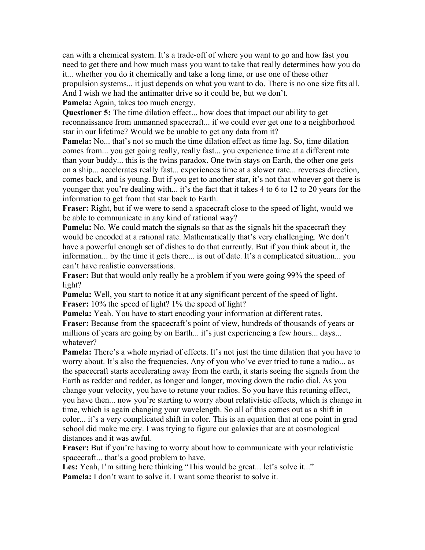can with a chemical system. It's a trade-off of where you want to go and how fast you need to get there and how much mass you want to take that really determines how you do it... whether you do it chemically and take a long time, or use one of these other propulsion systems... it just depends on what you want to do. There is no one size fits all. And I wish we had the antimatter drive so it could be, but we don't.

**Pamela:** Again, takes too much energy.

**Questioner 5:** The time dilation effect... how does that impact our ability to get reconnaissance from unmanned spacecraft... if we could ever get one to a neighborhood star in our lifetime? Would we be unable to get any data from it?

**Pamela:** No... that's not so much the time dilation effect as time lag. So, time dilation comes from... you get going really, really fast... you experience time at a different rate than your buddy... this is the twins paradox. One twin stays on Earth, the other one gets on a ship... accelerates really fast... experiences time at a slower rate... reverses direction, comes back, and is young. But if you get to another star, it's not that whoever got there is younger that you're dealing with... it's the fact that it takes 4 to 6 to 12 to 20 years for the information to get from that star back to Earth.

**Fraser:** Right, but if we were to send a spacecraft close to the speed of light, would we be able to communicate in any kind of rational way?

**Pamela:** No. We could match the signals so that as the signals hit the spacecraft they would be encoded at a rational rate. Mathematically that's very challenging. We don't have a powerful enough set of dishes to do that currently. But if you think about it, the information... by the time it gets there... is out of date. It's a complicated situation... you can't have realistic conversations.

**Fraser:** But that would only really be a problem if you were going 99% the speed of light?

**Pamela:** Well, you start to notice it at any significant percent of the speed of light. **Fraser:** 10% the speed of light? 1% the speed of light?

**Pamela:** Yeah. You have to start encoding your information at different rates.

**Fraser:** Because from the spacecraft's point of view, hundreds of thousands of years or millions of years are going by on Earth... it's just experiencing a few hours... days... whatever?

**Pamela:** There's a whole myriad of effects. It's not just the time dilation that you have to worry about. It's also the frequencies. Any of you who've ever tried to tune a radio... as the spacecraft starts accelerating away from the earth, it starts seeing the signals from the Earth as redder and redder, as longer and longer, moving down the radio dial. As you change your velocity, you have to retune your radios. So you have this retuning effect, you have then... now you're starting to worry about relativistic effects, which is change in time, which is again changing your wavelength. So all of this comes out as a shift in color... it's a very complicated shift in color. This is an equation that at one point in grad school did make me cry. I was trying to figure out galaxies that are at cosmological distances and it was awful.

**Fraser:** But if you're having to worry about how to communicate with your relativistic spacecraft... that's a good problem to have.

Les: Yeah, I'm sitting here thinking "This would be great... let's solve it..."

**Pamela:** I don't want to solve it. I want some theorist to solve it.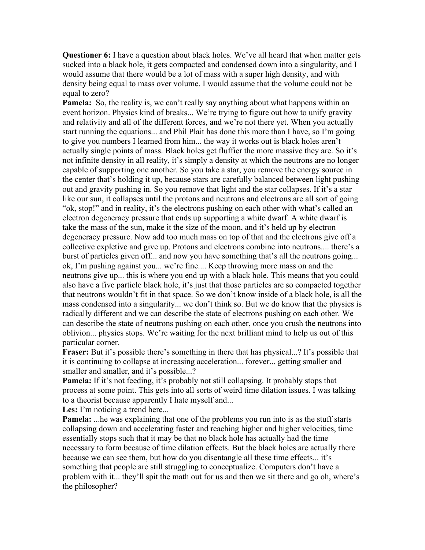**Questioner 6:** I have a question about black holes. We've all heard that when matter gets sucked into a black hole, it gets compacted and condensed down into a singularity, and I would assume that there would be a lot of mass with a super high density, and with density being equal to mass over volume, I would assume that the volume could not be equal to zero?

**Pamela:** So, the reality is, we can't really say anything about what happens within an event horizon. Physics kind of breaks... We're trying to figure out how to unify gravity and relativity and all of the different forces, and we're not there yet. When you actually start running the equations... and Phil Plait has done this more than I have, so I'm going to give you numbers I learned from him... the way it works out is black holes aren't actually single points of mass. Black holes get fluffier the more massive they are. So it's not infinite density in all reality, it's simply a density at which the neutrons are no longer capable of supporting one another. So you take a star, you remove the energy source in the center that's holding it up, because stars are carefully balanced between light pushing out and gravity pushing in. So you remove that light and the star collapses. If it's a star like our sun, it collapses until the protons and neutrons and electrons are all sort of going "ok, stop!" and in reality, it's the electrons pushing on each other with what's called an electron degeneracy pressure that ends up supporting a white dwarf. A white dwarf is take the mass of the sun, make it the size of the moon, and it's held up by electron degeneracy pressure. Now add too much mass on top of that and the electrons give off a collective expletive and give up. Protons and electrons combine into neutrons.... there's a burst of particles given off... and now you have something that's all the neutrons going... ok, I'm pushing against you... we're fine.... Keep throwing more mass on and the neutrons give up... this is where you end up with a black hole. This means that you could also have a five particle black hole, it's just that those particles are so compacted together that neutrons wouldn't fit in that space. So we don't know inside of a black hole, is all the mass condensed into a singularity... we don't think so. But we do know that the physics is radically different and we can describe the state of electrons pushing on each other. We can describe the state of neutrons pushing on each other, once you crush the neutrons into oblivion... physics stops. We're waiting for the next brilliant mind to help us out of this particular corner.

**Fraser:** But it's possible there's something in there that has physical...? It's possible that it is continuing to collapse at increasing acceleration... forever... getting smaller and smaller and smaller, and it's possible...?

**Pamela:** If it's not feeding, it's probably not still collapsing. It probably stops that process at some point. This gets into all sorts of weird time dilation issues. I was talking to a theorist because apparently I hate myself and...

Les: I'm noticing a trend here...

**Pamela:** ...he was explaining that one of the problems you run into is as the stuff starts collapsing down and accelerating faster and reaching higher and higher velocities, time essentially stops such that it may be that no black hole has actually had the time necessary to form because of time dilation effects. But the black holes are actually there because we can see them, but how do you disentangle all these time effects... it's something that people are still struggling to conceptualize. Computers don't have a problem with it... they'll spit the math out for us and then we sit there and go oh, where's the philosopher?